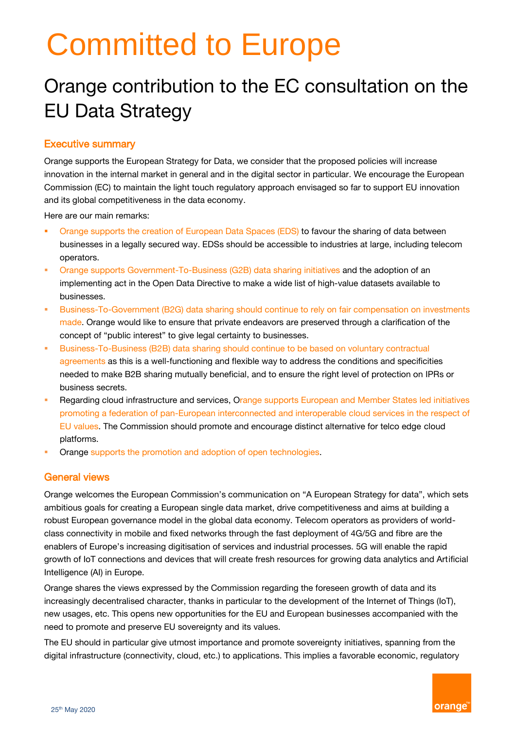# Committed to Europe

# Orange contribution to the EC consultation on the EU Data Strategy

#### Executive summary

Orange supports the European Strategy for Data, we consider that the proposed policies will increase innovation in the internal market in general and in the digital sector in particular. We encourage the European Commission (EC) to maintain the light touch regulatory approach envisaged so far to support EU innovation and its global competitiveness in the data economy.

Here are our main remarks:

- Orange supports the creation of European Data Spaces (EDS) to favour the sharing of data between businesses in a legally secured way. EDSs should be accessible to industries at large, including telecom operators.
- **Orange supports Government-To-Business (G2B) data sharing initiatives and the adoption of an** implementing act in the Open Data Directive to make a wide list of high-value datasets available to businesses.
- Business-To-Government (B2G) data sharing should continue to rely on fair compensation on investments made. Orange would like to ensure that private endeavors are preserved through a clarification of the concept of "public interest" to give legal certainty to businesses.
- Business-To-Business (B2B) data sharing should continue to be based on voluntary contractual agreements as this is a well-functioning and flexible way to address the conditions and specificities needed to make B2B sharing mutually beneficial, and to ensure the right level of protection on IPRs or business secrets.
- **Regarding cloud infrastructure and services, Orange supports European and Member States led initiatives** promoting a federation of pan-European interconnected and interoperable cloud services in the respect of EU values. The Commission should promote and encourage distinct alternative for telco edge cloud platforms.
- Orange supports the promotion and adoption of open technologies.

#### General views

Orange welcomes the European Commission's communication on "A European Strategy for data", which sets ambitious goals for creating a European single data market, drive competitiveness and aims at building a robust European governance model in the global data economy. Telecom operators as providers of worldclass connectivity in mobile and fixed networks through the fast deployment of 4G/5G and fibre are the enablers of Europe's increasing digitisation of services and industrial processes. 5G will enable the rapid growth of IoT connections and devices that will create fresh resources for growing data analytics and Artificial Intelligence (AI) in Europe.

Orange shares the views expressed by the Commission regarding the foreseen growth of data and its increasingly decentralised character, thanks in particular to the development of the Internet of Things (IoT), new usages, etc. This opens new opportunities for the EU and European businesses accompanied with the need to promote and preserve EU sovereignty and its values.

The EU should in particular give utmost importance and promote sovereignty initiatives, spanning from the digital infrastructure (connectivity, cloud, etc.) to applications. This implies a favorable economic, regulatory

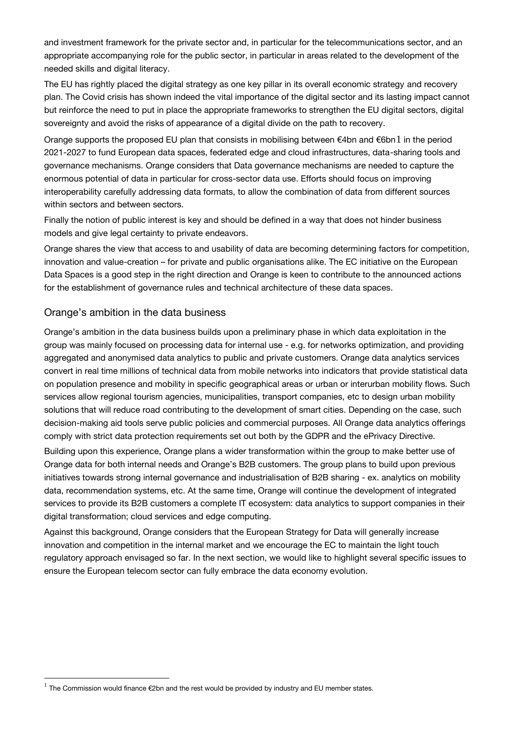and investment framework for the private sector and, in particular for the telecommunications sector, and an appropriate accompanying role for the public sector, in particular in areas related to the development of the needed skills and digital literacy.

The EU has rightly placed the digital strategy as one key pillar in its overall economic strategy and recovery plan. The Covid crisis has shown indeed the vital importance of the digital sector and its lasting impact cannot but reinforce the need to put in place the appropriate frameworks to strengthen the EU digital sectors, digital sovereignty and avoid the risks of appearance of a digital divide on the path to recovery.

Orange supports the proposed EU plan that consists in mobilising between €4bn and €6bn1 in the period 2021-2027 to fund European data spaces, federated edge and cloud infrastructures, data-sharing tools and governance mechanisms. Orange considers that Data governance mechanisms are needed to capture the enormous potential of data in particular for cross-sector data use. Efforts should focus on improving interoperability carefully addressing data formats, to allow the combination of data from different sources within sectors and between sectors.

Finally the notion of public interest is key and should be defined in a way that does not hinder business models and give legal certainty to private endeavors.

Orange shares the view that access to and usability of data are becoming determining factors for competition, innovation and value-creation – for private and public organisations alike. The EC initiative on the European Data Spaces is a good step in the right direction and Orange is keen to contribute to the announced actions for the establishment of governance rules and technical architecture of these data spaces.

#### Orange's ambition in the data business

1

Orange's ambition in the data business builds upon a preliminary phase in which data exploitation in the group was mainly focused on processing data for internal use - e.g. for networks optimization, and providing aggregated and anonymised data analytics to public and private customers. Orange data analytics services convert in real time millions of technical data from mobile networks into indicators that provide statistical data on population presence and mobility in specific geographical areas or urban or interurban mobility flows. Such services allow regional tourism agencies, municipalities, transport companies, etc to design urban mobility solutions that will reduce road contributing to the development of smart cities. Depending on the case, such decision-making aid tools serve public policies and commercial purposes. All Orange data analytics offerings comply with strict data protection requirements set out both by the GDPR and the ePrivacy Directive.

Building upon this experience, Orange plans a wider transformation within the group to make better use of Orange data for both internal needs and Orange's B2B customers. The group plans to build upon previous initiatives towards strong internal governance and industrialisation of B2B sharing - ex. analytics on mobility data, recommendation systems, etc. At the same time, Orange will continue the development of integrated services to provide its B2B customers a complete IT ecosystem: data analytics to support companies in their digital transformation; cloud services and edge computing.

Against this background, Orange considers that the European Strategy for Data will generally increase innovation and competition in the internal market and we encourage the EC to maintain the light touch regulatory approach envisaged so far. In the next section, we would like to highlight several specific issues to ensure the European telecom sector can fully embrace the data economy evolution.

 $<sup>1</sup>$  The Commission would finance €2bn and the rest would be provided by industry and EU member states.</sup>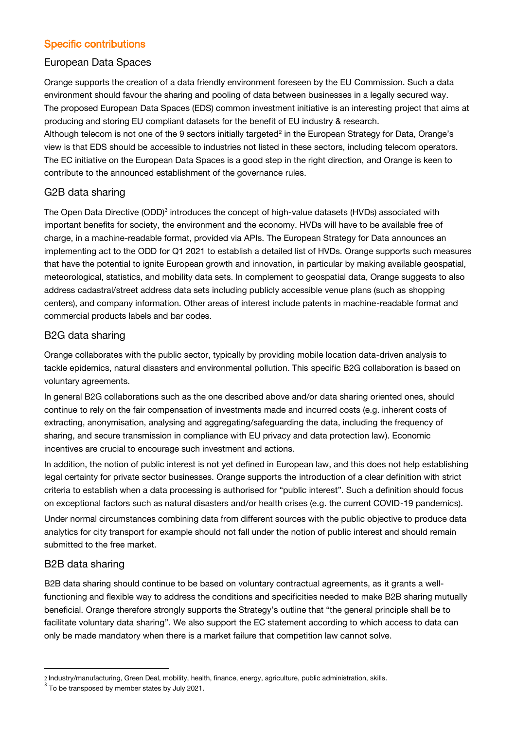# Specific contributions

#### European Data Spaces

Orange supports the creation of a data friendly environment foreseen by the EU Commission. Such a data environment should favour the sharing and pooling of data between businesses in a legally secured way. The proposed European Data Spaces (EDS) common investment initiative is an interesting project that aims at producing and storing EU compliant datasets for the benefit of EU industry & research. Although telecom is not one of the 9 sectors initially targeted<sup>2</sup> in the European Strategy for Data, Orange's view is that EDS should be accessible to industries not listed in these sectors, including telecom operators. The EC initiative on the European Data Spaces is a good step in the right direction, and Orange is keen to contribute to the announced establishment of the governance rules.

# G2B data sharing

The Open Data Directive (ODD)<sup>3</sup> introduces the concept of high-value datasets (HVDs) associated with important benefits for society, the environment and the economy. HVDs will have to be available free of charge, in a machine-readable format, provided via APIs. The European Strategy for Data announces an implementing act to the ODD for Q1 2021 to establish a detailed list of HVDs. Orange supports such measures that have the potential to ignite European growth and innovation, in particular by making available geospatial, meteorological, statistics, and mobility data sets. In complement to geospatial data, Orange suggests to also address cadastral/street address data sets including publicly accessible venue plans (such as shopping centers), and company information. Other areas of interest include patents in machine-readable format and commercial products labels and bar codes.

#### B2G data sharing

Orange collaborates with the public sector, typically by providing mobile location data-driven analysis to tackle epidemics, natural disasters and environmental pollution. This specific B2G collaboration is based on voluntary agreements.

In general B2G collaborations such as the one described above and/or data sharing oriented ones, should continue to rely on the fair compensation of investments made and incurred costs (e.g. inherent costs of extracting, anonymisation, analysing and aggregating/safeguarding the data, including the frequency of sharing, and secure transmission in compliance with EU privacy and data protection law). Economic incentives are crucial to encourage such investment and actions.

In addition, the notion of public interest is not yet defined in European law, and this does not help establishing legal certainty for private sector businesses. Orange supports the introduction of a clear definition with strict criteria to establish when a data processing is authorised for "public interest". Such a definition should focus on exceptional factors such as natural disasters and/or health crises (e.g. the current COVID-19 pandemics).

Under normal circumstances combining data from different sources with the public objective to produce data analytics for city transport for example should not fall under the notion of public interest and should remain submitted to the free market.

#### B2B data sharing

1

B2B data sharing should continue to be based on voluntary contractual agreements, as it grants a wellfunctioning and flexible way to address the conditions and specificities needed to make B2B sharing mutually beneficial. Orange therefore strongly supports the Strategy's outline that "the general principle shall be to facilitate voluntary data sharing". We also support the EC statement according to which access to data can only be made mandatory when there is a market failure that competition law cannot solve.

<sup>2</sup> Industry/manufacturing, Green Deal, mobility, health, finance, energy, agriculture, public administration, skills.

 $3$  To be transposed by member states by July 2021.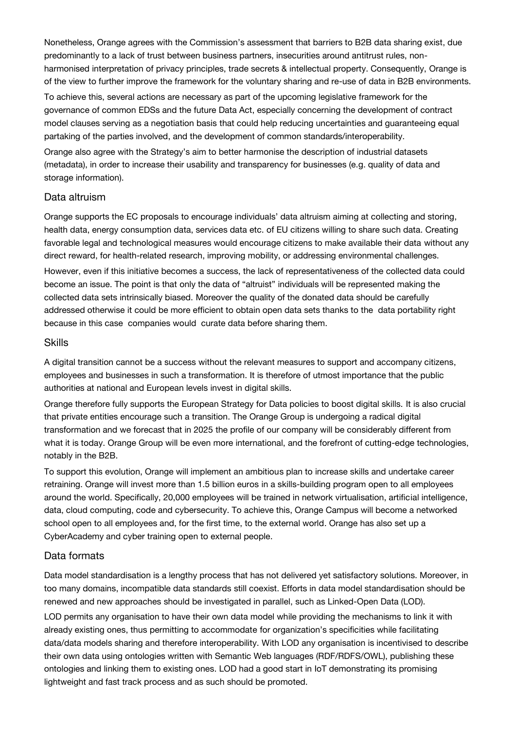Nonetheless, Orange agrees with the Commission's assessment that barriers to B2B data sharing exist, due predominantly to a lack of trust between business partners, insecurities around antitrust rules, nonharmonised interpretation of privacy principles, trade secrets & intellectual property. Consequently, Orange is of the view to further improve the framework for the voluntary sharing and re-use of data in B2B environments.

To achieve this, several actions are necessary as part of the upcoming legislative framework for the governance of common EDSs and the future Data Act, especially concerning the development of contract model clauses serving as a negotiation basis that could help reducing uncertainties and guaranteeing equal partaking of the parties involved, and the development of common standards/interoperability.

Orange also agree with the Strategy's aim to better harmonise the description of industrial datasets (metadata), in order to increase their usability and transparency for businesses (e.g. quality of data and storage information).

#### Data altruism

Orange supports the EC proposals to encourage individuals' data altruism aiming at collecting and storing, health data, energy consumption data, services data etc. of EU citizens willing to share such data. Creating favorable legal and technological measures would encourage citizens to make available their data without any direct reward, for health-related research, improving mobility, or addressing environmental challenges.

However, even if this initiative becomes a success, the lack of representativeness of the collected data could become an issue. The point is that only the data of "altruist" individuals will be represented making the collected data sets intrinsically biased. Moreover the quality of the donated data should be carefully addressed otherwise it could be more efficient to obtain open data sets thanks to the data portability right because in this case companies would curate data before sharing them.

#### Skills

A digital transition cannot be a success without the relevant measures to support and accompany citizens, employees and businesses in such a transformation. It is therefore of utmost importance that the public authorities at national and European levels invest in digital skills.

Orange therefore fully supports the European Strategy for Data policies to boost digital skills. It is also crucial that private entities encourage such a transition. The Orange Group is undergoing a radical digital transformation and we forecast that in 2025 the profile of our company will be considerably different from what it is today. Orange Group will be even more international, and the forefront of cutting-edge technologies, notably in the B2B.

To support this evolution, Orange will implement an ambitious plan to increase skills and undertake career retraining. Orange will invest more than 1.5 billion euros in a skills-building program open to all employees around the world. Specifically, 20,000 employees will be trained in network virtualisation, artificial intelligence, data, cloud computing, code and cybersecurity. To achieve this, Orange Campus will become a networked school open to all employees and, for the first time, to the external world. Orange has also set up a CyberAcademy and cyber training open to external people.

#### Data formats

Data model standardisation is a lengthy process that has not delivered yet satisfactory solutions. Moreover, in too many domains, incompatible data standards still coexist. Efforts in data model standardisation should be renewed and new approaches should be investigated in parallel, such as Linked-Open Data (LOD).

LOD permits any organisation to have their own data model while providing the mechanisms to link it with already existing ones, thus permitting to accommodate for organization's specificities while facilitating data/data models sharing and therefore interoperability. With LOD any organisation is incentivised to describe their own data using ontologies written with Semantic Web languages (RDF/RDFS/OWL), publishing these ontologies and linking them to existing ones. LOD had a good start in IoT demonstrating its promising lightweight and fast track process and as such should be promoted.